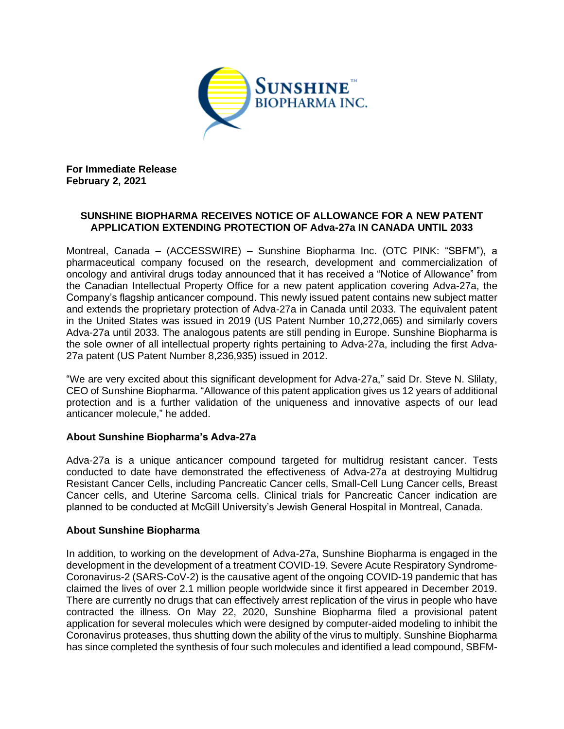

**For Immediate Release February 2, 2021**

## **SUNSHINE BIOPHARMA RECEIVES NOTICE OF ALLOWANCE FOR A NEW PATENT APPLICATION EXTENDING PROTECTION OF Adva-27a IN CANADA UNTIL 2033**

Montreal, Canada – (ACCESSWIRE) – Sunshine Biopharma Inc. (OTC PINK: "SBFM"), a pharmaceutical company focused on the research, development and commercialization of oncology and antiviral drugs today announced that it has received a "Notice of Allowance" from the Canadian Intellectual Property Office for a new patent application covering Adva-27a, the Company's flagship anticancer compound. This newly issued patent contains new subject matter and extends the proprietary protection of Adva-27a in Canada until 2033. The equivalent patent in the United States was issued in 2019 (US Patent Number 10,272,065) and similarly covers Adva-27a until 2033. The analogous patents are still pending in Europe. Sunshine Biopharma is the sole owner of all intellectual property rights pertaining to Adva-27a, including the first Adva-27a patent (US Patent Number 8,236,935) issued in 2012.

"We are very excited about this significant development for Adva-27a," said Dr. Steve N. Slilaty, CEO of Sunshine Biopharma. "Allowance of this patent application gives us 12 years of additional protection and is a further validation of the uniqueness and innovative aspects of our lead anticancer molecule," he added.

## **About Sunshine Biopharma's Adva-27a**

Adva-27a is a unique anticancer compound targeted for multidrug resistant cancer. Tests conducted to date have demonstrated the effectiveness of Adva-27a at destroying Multidrug Resistant Cancer Cells, including Pancreatic Cancer cells, Small-Cell Lung Cancer cells, Breast Cancer cells, and Uterine Sarcoma cells. Clinical trials for Pancreatic Cancer indication are planned to be conducted at McGill University's Jewish General Hospital in Montreal, Canada.

## **About Sunshine Biopharma**

In addition, to working on the development of Adva-27a, Sunshine Biopharma is engaged in the development in the development of a treatment COVID-19. Severe Acute Respiratory Syndrome-Coronavirus-2 (SARS-CoV-2) is the causative agent of the ongoing COVID-19 pandemic that has claimed the lives of over 2.1 million people worldwide since it first appeared in December 2019. There are currently no drugs that can effectively arrest replication of the virus in people who have contracted the illness. On May 22, 2020, Sunshine Biopharma filed a provisional patent application for several molecules which were designed by computer-aided modeling to inhibit the Coronavirus proteases, thus shutting down the ability of the virus to multiply. Sunshine Biopharma has since completed the synthesis of four such molecules and identified a lead compound, SBFM-